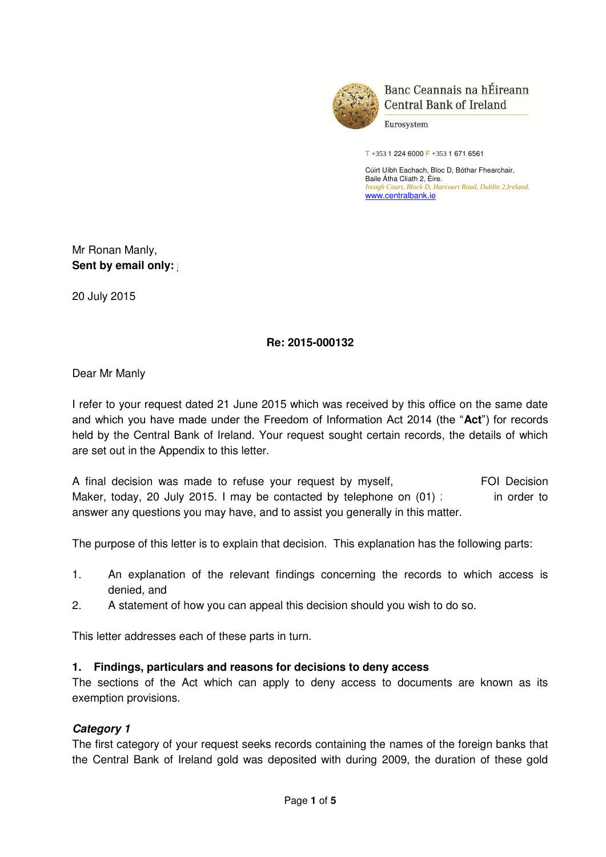

Banc Ceannais na hÉireann **Central Bank of Ireland** 

Eurosystem

T +353 1 224 6000 F +353 1 671 6561

Cúirt Uíbh Eachach, Bloc D, Bóthar Fhearchair, Baile Átha Cliath 2, Éire. *Iveagh Court, Block D, Harcourt Road, Dublin 2,Ireland.*  [www.centralbank.ie](�� h t t p : / / w w w . c e n t r a l b a n k . i e /) 

Mr Ronan Manly, **Sent by email only:** 

20 July 2015

## **Re: 2015-000132**

Dear Mr Manly

I refer to your request dated 21 June 2015 which was received by this office on the same date and which you have made under the Freedom of Information Act 2014 (the "**Act**") for records held by the Central Bank of Ireland. Your request sought certain records, the details of which are set out in the Appendix to this letter.

A final decision was made to refuse your request by myself, FOI Decision Maker, today, 20 July 2015. I may be contacted by telephone on  $(01)$  in order to answer any questions you may have, and to assist you generally in this matter.

The purpose of this letter is to explain that decision. This explanation has the following parts:

- 1. An explanation of the relevant findings concerning the records to which access is denied, and
- 2. A statement of how you can appeal this decision should you wish to do so.

This letter addresses each of these parts in turn.

#### **1. Findings, particulars and reasons for decisions to deny access**

The sections of the Act which can apply to deny access to documents are known as its exemption provisions.

## *Category 1*

The first category of your request seeks records containing the names of the foreign banks that the Central Bank of Ireland gold was deposited with during 2009, the duration of these gold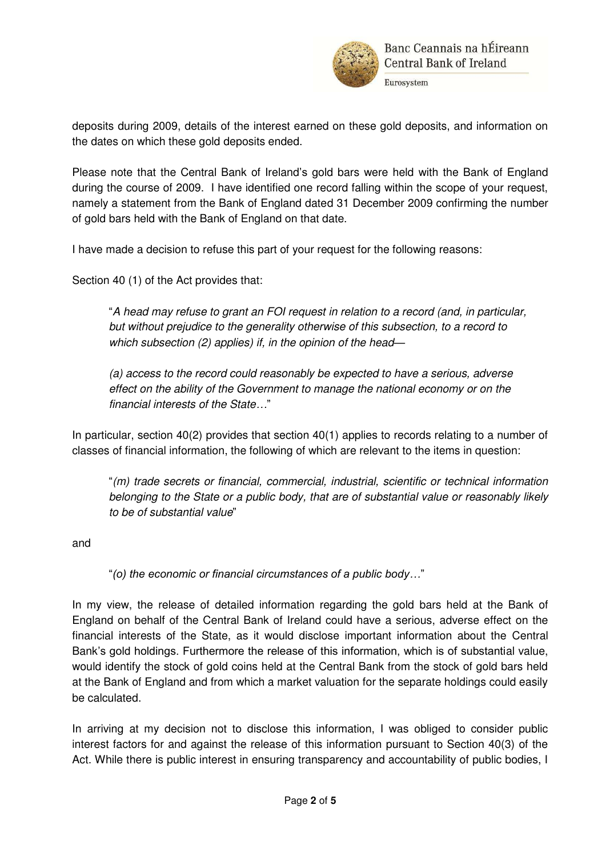

deposits during 2009, details of the interest earned on these gold deposits, and information on the dates on which these gold deposits ended.

Please note that the Central Bank of Ireland's gold bars were held with the Bank of England during the course of 2009. I have identified one record falling within the scope of your request, namely a statement from the Bank of England dated 31 December 2009 confirming the number of gold bars held with the Bank of England on that date.

I have made a decision to refuse this part of your request for the following reasons:

Section 40 (1) of the Act provides that:

"*A head may refuse to grant an FOI request in relation to a record (and, in particular, but without prejudice to the generality otherwise of this subsection, to a record to which subsection (2) applies) if, in the opinion of the head—*

*(a) access to the record could reasonably be expected to have a serious, adverse effect on the ability of the Government to manage the national economy or on the financial interests of the State…*"

In particular, section 40(2) provides that section 40(1) applies to records relating to a number of classes of financial information, the following of which are relevant to the items in question:

"*(m) trade secrets or financial, commercial, industrial, scientific or technical information belonging to the State or a public body, that are of substantial value or reasonably likely to be of substantial value*"

and

"*(o) the economic or financial circumstances of a public body…*"

In my view, the release of detailed information regarding the gold bars held at the Bank of England on behalf of the Central Bank of Ireland could have a serious, adverse effect on the financial interests of the State, as it would disclose important information about the Central Bank's gold holdings. Furthermore the release of this information, which is of substantial value, would identify the stock of gold coins held at the Central Bank from the stock of gold bars held at the Bank of England and from which a market valuation for the separate holdings could easily be calculated.

In arriving at my decision not to disclose this information, I was obliged to consider public interest factors for and against the release of this information pursuant to Section 40(3) of the Act. While there is public interest in ensuring transparency and accountability of public bodies, I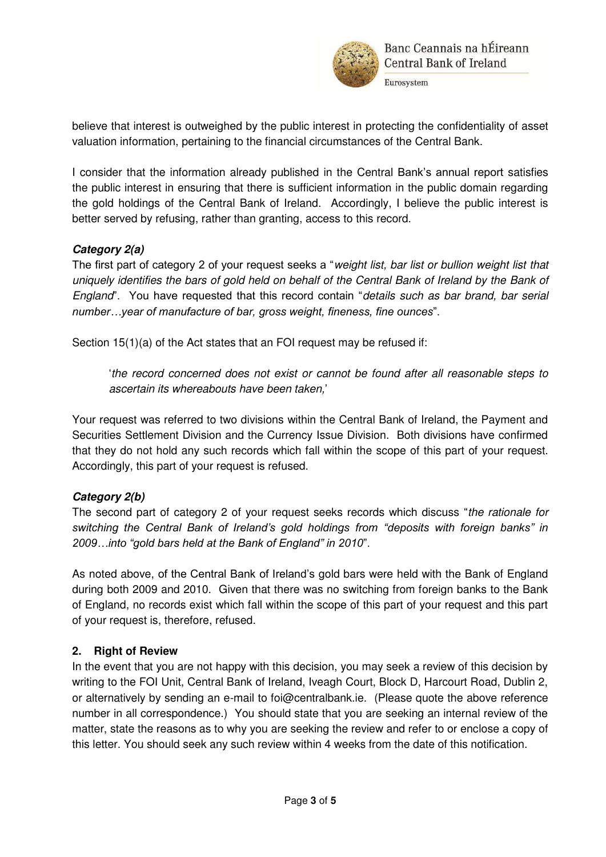

Eurosystem

believe that interest is outweighed by the public interest in protecting the confidentiality of asset valuation information, pertaining to the financial circumstances of the Central Bank.

I consider that the information already published in the Central Bank's annual report satisfies the public interest in ensuring that there is sufficient information in the public domain regarding the gold holdings of the Central Bank of Ireland. Accordingly, I believe the public interest is better served by refusing, rather than granting, access to this record.

# *Category 2(a)*

The first part of category 2 of your request seeks a "*weight list, bar list or bullion weight list that uniquely identifies the bars of gold held on behalf of the Central Bank of Ireland by the Bank of England*". You have requested that this record contain "*details such as bar brand, bar serial number…year of manufacture of bar, gross weight, fineness, fine ounces*".

Section 15(1)(a) of the Act states that an FOI request may be refused if:

'*the record concerned does not exist or cannot be found after all reasonable steps to ascertain its whereabouts have been taken,*'

Your request was referred to two divisions within the Central Bank of Ireland, the Payment and Securities Settlement Division and the Currency Issue Division. Both divisions have confirmed that they do not hold any such records which fall within the scope of this part of your request. Accordingly, this part of your request is refused.

## *Category 2(b)*

The second part of category 2 of your request seeks records which discuss "*the rationale for switching the Central Bank of Ireland's gold holdings from "deposits with foreign banks" in 2009…into "gold bars held at the Bank of England" in 2010*".

As noted above, of the Central Bank of Ireland's gold bars were held with the Bank of England during both 2009 and 2010. Given that there was no switching from foreign banks to the Bank of England, no records exist which fall within the scope of this part of your request and this part of your request is, therefore, refused.

# **2. Right of Review**

In the event that you are not happy with this decision, you may seek a review of this decision by writing to the FOI Unit, Central Bank of Ireland, Iveagh Court, Block D, Harcourt Road, Dublin 2, or alternatively by sending an e-mail to [foi@centralbank.ie.](�� m a i l t o : f o i @ c e n t r a l b a n k . i e) (Please quote the above reference number in all correspondence.) You should state that you are seeking an internal review of the matter, state the reasons as to why you are seeking the review and refer to or enclose a copy of this letter. You should seek any such review within 4 weeks from the date of this notification.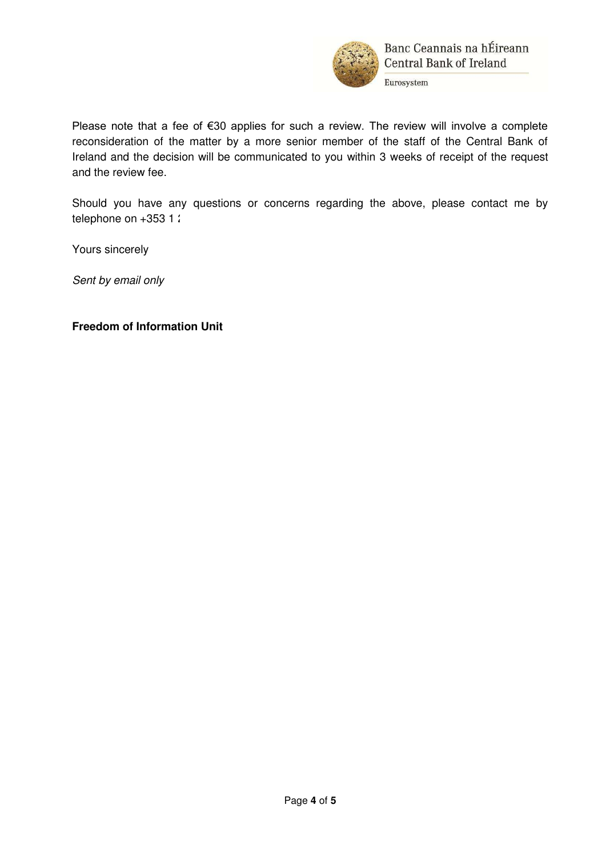

Please note that a fee of €30 applies for such a review. The review will involve a complete reconsideration of the matter by a more senior member of the staff of the Central Bank of Ireland and the decision will be communicated to you within 3 weeks of receipt of the request and the review fee.

Should you have any questions or concerns regarding the above, please contact me by telephone on  $+353$  1  $24$ 

Yours sincerely

*Sent by email only* 

#### **Freedom of Information Unit**